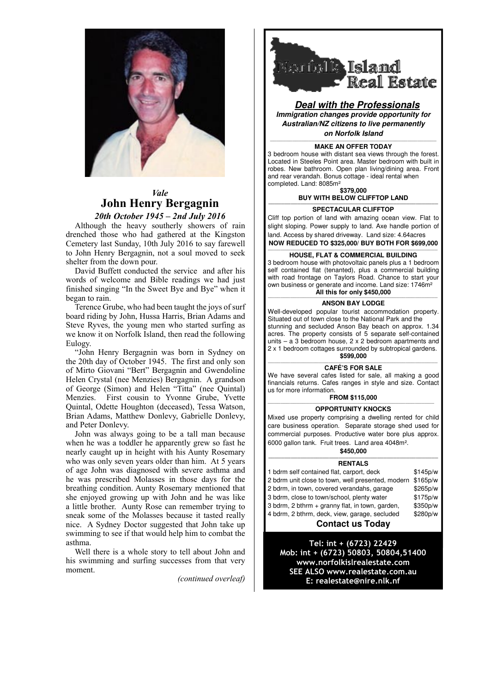

### *Vale* **John Henry Bergagnin** *20th October 1945 – 2nd July 2016*

 $2$ *UIn* October 1945 – 2nd July 2016<br>Although the heavy southerly showers of rain drenched those who had gathered at the Kingston Cemetery last Sunday, 10th July 2016 to say farewell **NOW REDUCED TO 3** to John Henry Bergagnin, not a soul moved to seek **FLA** shelter from the down pour.

Shelter from the down pour.<br>David Buffett conducted the service and after his self contained fla  $\frac{1}{2}$  words of welcome and Bible readings we had just  $\frac{1}{2}$  with road frequency finished singing "In the Sweet Bye and Bye" when it began to rain.

 $T$ erence Grube, who had been taught the joys of surf board riding by John, Hussa Harris, Brian Adams and  $\parallel$  Situated out of town close Steve Ryves, the young men who started surfing as  $\parallel$  stunning and we know it on Norfolk Island, then read the following  $\begin{bmatrix} \text{acres. The prop} \\ \text{acres. The prop} \end{bmatrix}$ Eulogy.

Eulogy.<br>
"John Henry Bergagnin was born in Sydney on  $\begin{bmatrix} 2 \times 1 \end{bmatrix}$  bedroom cottage the 20th day of October 1945. The first and only son  $\left\|$ of Mirto Giovani "Bert" Bergagnin and Gwendoline Helen Crystal (nee Menzies) Bergagnin. A grandson of George (Simon) and Helen "Titta" (nee Quintal) Menzies. First cousin to Yvonne Grube, Yvette  $Q$ uintal, Odette Houghton (deceased), Tessa Watson,  $Q$ Brian Adams, Matthew Donlevy, Gabrielle Donlevy, Nixed use propert and Peter Donlevy. **Is a mum-dimension of the mum-dimension of the mum-dimension of the mum-dimension of the mum-**

John was always going to be a tall man because subminermial purpos when he was a toddler he apparently grew so fast he  $\sim$  6000 gallon tank. From  $\sim$  6000 gallon and his new surface mates became legends of  $\sim$  6000 gallon tank. nearly caught up in height with his Aunty Rosemary who was only seven years older than him. At 5 years  $\begin{bmatrix} 1 & -1 \\ 0 & 0 \end{bmatrix}$ of age John was diagnosed with severe asthma and  $\frac{1}{1}$  bdrm self contained fl he was prescribed Molasses in those days for the  $\vert$  2 bdrm unit close to tow breathing condition. Aunty Rosemary mentioned that | 2 bdrm, in town, cov she enjoyed growing up with John and he was like  $\begin{bmatrix} 3 \text{ bdm, close to} \\ 0 \text{ bdm,} \end{bmatrix}$ a little brother. Aunty Rose can remember trying to sneak some of the Molasses because it tasted really nice. A Sydney Doctor suggested that John take up swimming to see if that would help him to combat the  $\parallel$ asthma. como didn't bring in the Chicago didn't bring in the Chicago didn't bring in the Chicago didn't bring in the C<br>The Chicago didn't bring in the Chicago didn't bring in the Chicago didn't bring in the Chicago didn't bring i worked with his dad in the Tailor business and the with Hussa's dad with Hussa's dad with Hussa's dad who was a Manager in a Manager in a Manager in a Manager in a Manager in a Manager in a Manager in a Manager in a Manag

Well there is a whole story to tell about John and  $\blacksquare$  Mob: int + his swimming and surfing successes from that very **www.**<br>moment moment.

*(continued overleaf)*



**Deal with the Professionals Immigration changes provide opportunity for Australian/NZ citizens to live permanently on Norfolk Island**

### ———————————————————————————————————————————————————— **MAKE AN OFFER TODAY**

3 bedroom house with distant sea views through the forest. Located in Steeles Point area. Master bedroom with built in robes. New bathroom. Open plan living/dining area. Front and rear verandah. Bonus cottage - ideal rental when completed. Land: 8085m²

**\$379,000 BUY WITH BELOW CLIFFTOP LAND —————————————————————————————————————————————————————**

#### **SPECTACULAR CLIFFTOP**

Cliff top portion of land with amazing ocean view. Flat to slight sloping. Power supply to land. Axe handle portion of land. Access by shared driveway. Land size: 4.64acres **NOW REDUCED TO \$325,000/ BUY BOTH FOR \$699,000** 

## ————————————————————————————————————————————————————— **HOUSE, FLAT & COMMERCIAL BUILDING**

3 bedroom house with photovoltaic panels plus a 1 bedroom self contained flat (tenanted), plus a commercial building with road frontage on Taylors Road. Chance to start your own business or generate and income. Land size: 1746m² All this for only \$450,000

#### **ANSON BAY LODGE**

Well-developed popular tourist accommodation property. Situated out of town close to the National Park and the stunning and secluded Anson Bay beach on approx. 1.34 acres. The property consists of 5 separate self-contained units – a 3 bedroom house, 2 x 2 bedroom apartments and 2 x 1 bedroom cottages surrounded by subtropical gardens. **\$599,000** 

#### ————————————————————————————————————————————————————— **CAFÉ'S FOR SALE**

We have several cafes listed for sale, all making a good financials returns. Cafes ranges in style and size. Contact us for more information.

#### **FROM \$115,000**

#### **OPPORTUNITY KNOCKS**

Mixed use property comprising a dwelling rented for child care business operation. Separate storage shed used for commercial purposes. Productive water bore plus approx. 6000 gallon tank. Fruit trees. Land area 4048m².

# **\$450,000 —————————————————————————————————————————————————————**

| <b>RENTALS</b>                                    |          |
|---------------------------------------------------|----------|
| 1 bdrm self contained flat, carport, deck         | \$145p/w |
| 2 bdrm unit close to town, well presented, modern | \$165p/w |
| 2 bdrm, in town, covered verandahs, garage        | \$265p/w |
| 3 bdrm, close to town/school, plenty water        | \$175p/w |
| 3 bdrm, 2 bthrm + granny flat, in town, garden,   | \$350p/w |
| 4 bdrm, 2 bthrm, deck, view, garage, secluded     | \$280p/w |
| Contact us Todov                                  |          |

#### **Contact us Today**

Tel: int + (6723) 22429 Mob: int + (6723) 50803, 50804,51400 www.norfolkislrealestate.com SEE ALSO www.realestate.com.au E: realestate@nire.nlk.nf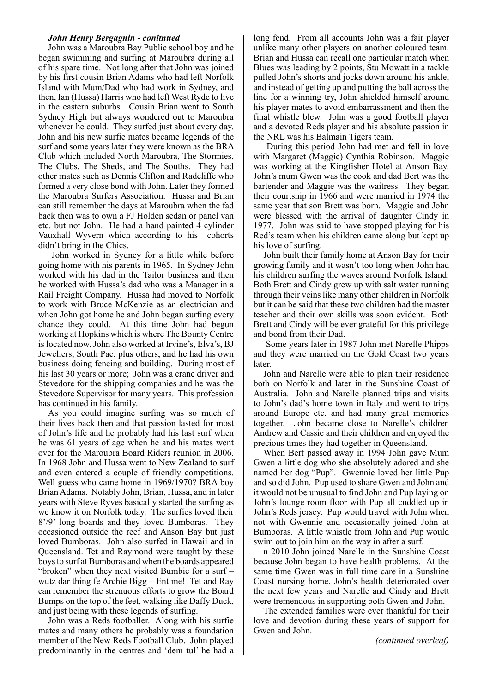### *John Henry Bergagnin - conitnued*

John was a Maroubra Bay Public school boy and he began swimming and surfing at Maroubra during all of his spare time. Not long after that John was joined by his first cousin Brian Adams who had left Norfolk Island with Mum/Dad who had work in Sydney, and then, Ian (Hussa) Harris who had left West Ryde to live in the eastern suburbs. Cousin Brian went to South Sydney High but always wondered out to Maroubra whenever he could. They surfed just about every day. John and his new surfie mates became legends of the surf and some years later they were known as the BRA Club which included North Maroubra, The Stormies, The Clubs, The Sheds, and The Souths. They had other mates such as Dennis Clifton and Radcliffe who formed a very close bond with John. Later they formed the Maroubra Surfers Association. Hussa and Brian can still remember the days at Maroubra when the fad back then was to own a FJ Holden sedan or panel van etc. but not John. He had a hand painted  $\overline{4}$  cylinder Vauxhall Wyvern which according to his cohorts didn't bring in the Chics.

 John worked in Sydney for a little while before going home with his parents in 1965. In Sydney John worked with his dad in the Tailor business and then he worked with Hussa's dad who was a Manager in a Rail Freight Company. Hussa had moved to Norfolk to work with Bruce McKenzie as an electrician and when John got home he and John began surfing every chance they could. At this time John had begun working at Hopkins which is where The Bounty Centre is located now. John also worked at Irvine's, Elva's, BJ Jewellers, South Pac, plus others, and he had his own business doing fencing and building. During most of his last 30 years or more; John was a crane driver and Stevedore for the shipping companies and he was the Stevedore Supervisor for many years. This profession has continued in his family.

As you could imagine surfing was so much of their lives back then and that passion lasted for most of John's life and he probably had his last surf when he was 61 years of age when he and his mates went over for the Maroubra Board Riders reunion in 2006. In 1968 John and Hussa went to New Zealand to surf and even entered a couple of friendly competitions. Well guess who came home in 1969/1970? BRA boy Brian Adams. Notably John, Brian, Hussa, and in later years with Steve Ryves basically started the surfing as we know it on Norfolk today. The surfies loved their 8'/9' long boards and they loved Bumboras. They occasioned outside the reef and Anson Bay but just loved Bumboras. John also surfed in Hawaii and in Queensland. Tet and Raymond were taught by these boys to surf at Bumboras and when the boards appeared "broken" when they next visited Bumbie for a surf – wutz dar thing fe Archie Bigg – Ent me! Tet and Ray can remember the strenuous efforts to grow the Board Bumps on the top of the feet, walking like Daffy Duck, and just being with these legends of surfing.

John was a Reds footballer. Along with his surfie mates and many others he probably was a foundation member of the New Reds Football Club. John played predominantly in the centres and 'dem tul' he had a long fend. From all accounts John was a fair player unlike many other players on another coloured team. Brian and Hussa can recall one particular match when Blues was leading by 2 points, Stu Mowatt in a tackle pulled John's shorts and jocks down around his ankle, and instead of getting up and putting the ball across the line for a winning try, John shielded himself around his player mates to avoid embarrassment and then the final whistle blew. John was a good football player and a devoted Reds player and his absolute passion in the NRL was his Balmain Tigers team.

 During this period John had met and fell in love with Margaret (Maggie) Cynthia Robinson. Maggie was working at the Kingfisher Hotel at Anson Bay. John's mum Gwen was the cook and dad Bert was the bartender and Maggie was the waitress. They began their courtship in 1966 and were married in 1974 the same year that son Brett was born. Maggie and John were blessed with the arrival of daughter Cindy in 1977. John was said to have stopped playing for his Red's team when his children came along but kept up his love of surfing.

John built their family home at Anson Bay for their growing family and it wasn't too long when John had his children surfing the waves around Norfolk Island. Both Brett and Cindy grew up with salt water running through their veins like many other children in Norfolk but it can be said that these two children had the master teacher and their own skills was soon evident. Both Brett and Cindy will be ever grateful for this privilege and bond from their Dad.

 Some years later in 1987 John met Narelle Phipps and they were married on the Gold Coast two years **later** 

John and Narelle were able to plan their residence both on Norfolk and later in the Sunshine Coast of Australia. John and Narelle planned trips and visits to John's dad's home town in Italy and went to trips around Europe etc. and had many great memories together. John became close to Narelle's children Andrew and Cassie and their children and enjoyed the precious times they had together in Queensland.

When Bert passed away in 1994 John gave Mum Gwen a little dog who she absolutely adored and she named her dog "Pup". Gwennie loved her little Pup and so did John. Pup used to share Gwen and John and it would not be unusual to find John and Pup laying on John's lounge room floor with Pup all cuddled up in John's Reds jersey. Pup would travel with John when not with Gwennie and occasionally joined John at Bumboras. A little whistle from John and Pup would swim out to join him on the way in after a surf.

n 2010 John joined Narelle in the Sunshine Coast because John began to have health problems. At the same time Gwen was in full time care in a Sunshine Coast nursing home. John's health deteriorated over the next few years and Narelle and Cindy and Brett were tremendous in supporting both Gwen and John.

The extended families were ever thankful for their love and devotion during these years of support for Gwen and John.